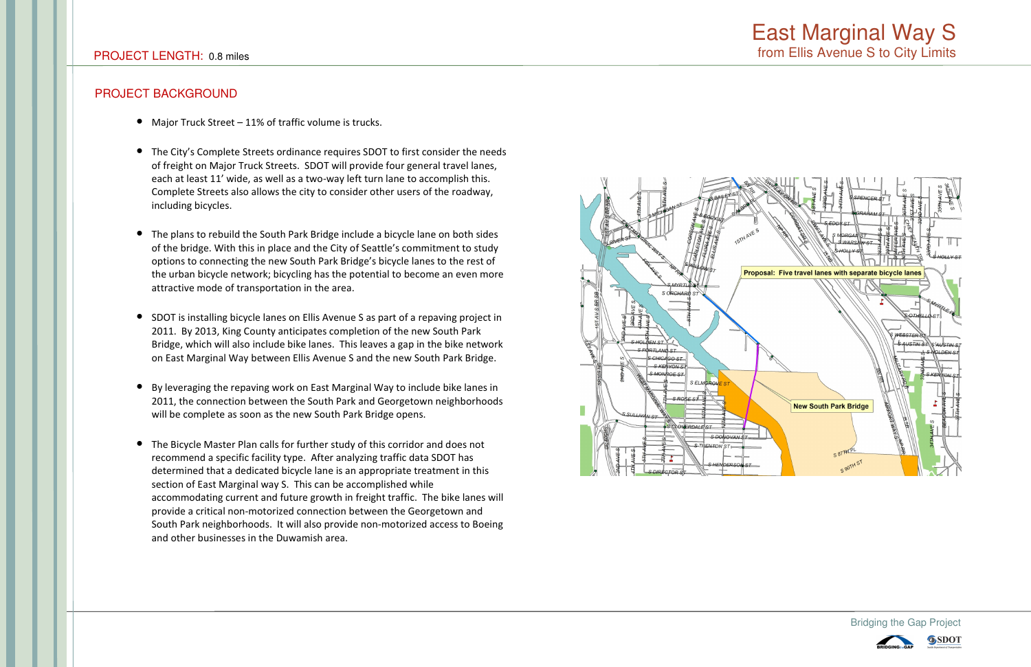### **PROJECT BACKGROUND**

- Major Truck Street 11% of traffic volume is trucks.
- The City's Complete Streets ordinance requires SDOT to first consider the needs of freight on Major Truck Streets. SDOT will provide four general travel lanes, each at least 11' wide, as well as a two-way left turn lane to accomplish this. Complete Streets also allows the city to consider other users of the roadway, including bicycles.
- The plans to rebuild the South Park Bridge include a bicycle lane on both sides of the bridge. With this in place and the City of Seattle's commitment to study options to connecting the new South Park Bridge's bicycle lanes to the rest of the urban bicycle network; bicycling has the potential to become an even more attractive mode of transportation in the area.
- SDOT is installing bicycle lanes on Ellis Avenue S as part of a repaving project in 2011. By 2013, King County anticipates completion of the new South Park Bridge, which will also include bike lanes. This leaves a gap in the bike network on East Marginal Way between Ellis Avenue S and the new South Park Bridge.
- By leveraging the repaving work on East Marginal Way to include bike lanes in 2011, the connection between the South Park and Georgetown neighborhoods will be complete as soon as the new South Park Bridge opens.
- The Bicycle Master Plan calls for further study of this corridor and does not recommend a specific facility type. After analyzing traffic data SDOT has determined that a dedicated bicycle lane is an appropriate treatment in this section of East Marginal way S. This can be accomplished while accommodating current and future growth in freight traffic. The bike lanes will provide a critical non-motorized connection between the Georgetown and South Park neighborhoods. It will also provide non-motorized access to Boeing and other businesses in the Duwamish area.



## **East Marginal Way S** from Ellis Avenue S to City Limits